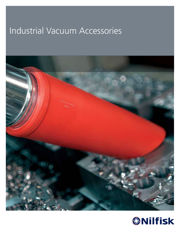# Industrial Vacuum Accessories



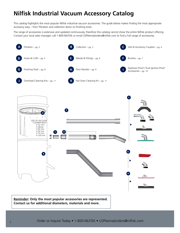### **Nilfisk Industrial Vacuum Accessory Catalog**

This catalog highlights the most popular Nilfisk industrial vacuum accessories. The guide below makes finding the most appropriate accessory easy – from filtration and collection down to finishing tools.

The range of accessories is extensive and updated continuously, therefore this catalog cannot show the entire Nilfisk product offering. Contact your local sales manager, call 1-800-NILFISK or email USPAemailorders@nilfisk.com to find a full range of accessories.



**Reminder: Only the most popular accessories are represented. Contact us for additional diameters, materials and more.**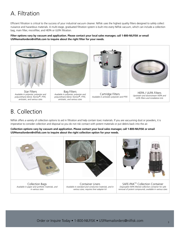#### A. Filtration

Efficient filtration is critical to the success of your industrial vacuum cleaner. Nilfisk uses the highest quality filters designed to safely collect nuisance and hazardous materials. A multi-stage, graduated filtration system is built into every Nilfisk vacuum, which can include a collection bag, main filter, microfilter, and HEPA or ULPA filtration.

#### **Filter options vary by vacuum and application. Please contact your local sales manager, call 1-800-NILFISK or email USPAemailorders@nilfisk.com to inquire about the right filter for your needs.**



#### B. Collection

Nilfisk offers a variety of collection options to aid in filtration and help contain toxic materials. If you are vacuuming dust or powders, it is imperative to consider collection and disposal so you do not risk contact with potent materials or put debris back into the air.

**Collection options vary by vacuum and application. Please contact your local sales manager, call 1-800-NILFISK or email USPAemailorders@nilfisk.com to inquire about the right collection option for your needs.**

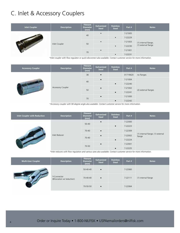#### C. Inlet & Accessory Couplers

| <b>Inlet Coupler</b> | <b>Description</b> | <b>Fitment</b><br><b>Diameter</b><br>(mm) | Galvanized<br><b>Steel</b> | <b>Stainless</b><br><b>Steel</b> | Part #  | <b>Notes</b>         |
|----------------------|--------------------|-------------------------------------------|----------------------------|----------------------------------|---------|----------------------|
|                      |                    | 40                                        | $\bullet$                  |                                  | 7-21005 |                      |
|                      | Inlet Coupler      |                                           |                            | $\bullet$                        | 7-22229 |                      |
|                      |                    |                                           | $\bullet$                  |                                  | 7-21003 | (1) internal flange; |
|                      |                    | 50                                        |                            | $\bullet$                        | 7-22230 | (1) external flange  |
|                      |                    |                                           | $\bullet$                  |                                  | 7-21001 |                      |
|                      |                    | 70                                        |                            | $\bullet$                        | 7-22231 |                      |

*\*Inlet coupler with flow regulator or quick-disconnect also available. Contact customer service for more information.*

| <b>Accessory Coupler</b> | <b>Description</b>       | <b>Fitment</b><br><b>Diameter</b><br>(mm) | Galvanized<br><b>Steel</b> | <b>Stainless</b><br><b>Steel</b> | Part #   | <b>Notes</b>         |
|--------------------------|--------------------------|-------------------------------------------|----------------------------|----------------------------------|----------|----------------------|
|                          |                          | 38                                        | $\bullet$                  |                                  | 01719620 | no flanges           |
|                          | <b>Accessory Coupler</b> | 40                                        | $\bullet$                  |                                  | 7-21004  |                      |
|                          |                          |                                           |                            | $\bullet$                        | 7-22240  |                      |
|                          |                          | 50                                        | $\bullet$                  |                                  | 7-21002  | (2) external flanges |
|                          |                          |                                           |                            | $\bullet$                        | 7-22241  |                      |
|                          |                          |                                           | $\bullet$                  |                                  | 7-21000  |                      |
|                          |                          | 70                                        |                            | $\bullet$                        | 7-22242  |                      |

*\*Accessory coupler with 90-degree angle also available. Contact customer service for more information.*

| Inlet Coupler with Reduction | <b>Description</b> | <b>Fitment</b><br><b>Diameter</b><br>(mm) | Galvanized<br><b>Steel</b> | <b>Stainless</b><br><b>Steel</b> | Part #  | <b>Notes</b>                                |
|------------------------------|--------------------|-------------------------------------------|----------------------------|----------------------------------|---------|---------------------------------------------|
|                              | Inlet Reducer      | $50 - 40$                                 | $\bullet$                  |                                  | 7-22000 |                                             |
|                              |                    |                                           |                            | $\bullet$                        | 7-22223 |                                             |
|                              |                    | 70-40                                     | $\bullet$                  |                                  | 7-22309 |                                             |
|                              |                    | 70-40                                     | $\bullet$                  |                                  | 7-22002 | (1) internal flange; (1) external<br>flange |
|                              |                    |                                           |                            | $\bullet$                        | 7-22224 |                                             |
|                              |                    | 70-50                                     |                            |                                  | 7-22001 |                                             |
|                              |                    |                                           |                            | $\bullet$                        | 7-22225 |                                             |

*\*Inlet reducers with flow regulation and various sizes also available. Contact customer service for more information.*

| <b>Multi-User Coupler</b> | <b>Description</b>                        | <b>Fitment</b><br><b>Diameter</b><br>(mm) | Galvanized<br><b>Steel</b> | <b>Stainless</b><br><b>Steel</b> | Part #  | <b>Notes</b>        |  |  |
|---------------------------|-------------------------------------------|-------------------------------------------|----------------------------|----------------------------------|---------|---------------------|--|--|
|                           |                                           | 50-40-40                                  | $\bullet$                  |                                  | 7-22060 |                     |  |  |
|                           | Y-Connector<br>(Bifurcation w/ reduction) | 70-40-40                                  | $\bullet$                  |                                  | 7-22111 | (1) internal flange |  |  |
|                           |                                           | 70-50-50                                  | $\bullet$                  |                                  | 7-22064 |                     |  |  |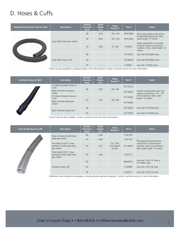#### D. Hoses & Cuffs

| <b>Standard Gray Plastic Hose &amp; Cuffs</b> | <b>Description</b>            | Fitment<br><b>Diameter</b><br>(mm)  | <b>Bend</b><br><b>Radius</b><br>(in.) | Temp.<br><b>Rating °F</b> | Part #   | <b>Notes</b>                                                                                                 |  |
|-----------------------------------------------|-------------------------------|-------------------------------------|---------------------------------------|---------------------------|----------|--------------------------------------------------------------------------------------------------------------|--|
|                                               |                               | 38<br>6.50<br>$-30/140$<br>81813800 |                                       |                           |          |                                                                                                              |  |
|                                               | Gray Plastic Hose (per meter) | 50                                  | 8.50                                  | $-30/140$                 | 81815000 | for general-purpose use. Max.<br>order length: 15 meters                                                     |  |
|                                               |                               | 70                                  | 9.84                                  | 5/140                     | 7-24026  | Plastic-coated PVC w/ smooth<br>lining for dust & non-abrasive<br>materials. Max. order length: 15<br>meters |  |
|                                               | Gray Plastic Hose Cuff        | 38                                  |                                       | $\overline{\phantom{a}}$  | 01719615 | Use with 81813800 hose                                                                                       |  |
|                                               |                               | 50                                  |                                       |                           | 01746306 | Use with 81815000 hose                                                                                       |  |
|                                               |                               | 70                                  |                                       |                           | 7-20003  | Use with 7-24026 hose                                                                                        |  |

*\*Hoses are also available in standard lengths with cuffs attached. Contact customer service for more information.*

| <b>Antistatic Hose &amp; Cuffs</b> | <b>Description</b>                    | <b>Fitment</b><br><b>Diameter</b><br>(mm) | <b>Bend</b><br><b>Radius</b><br>(in.) | Temp.<br>Rating °F       | Part #   | <b>Notes</b>                                                                              |
|------------------------------------|---------------------------------------|-------------------------------------------|---------------------------------------|--------------------------|----------|-------------------------------------------------------------------------------------------|
|                                    | 15' Black Antistatic Hose w/<br>Cuffs | 38                                        | 5.00                                  | $-30/140$                | 01716215 |                                                                                           |
|                                    | Black Antistatic Hose (per<br>meter)  |                                           |                                       |                          | 01716200 | Carbon-impregnated ethyl vinyl<br>acetate construction; 10 <sup>3</sup> - 10 <sup>6</sup> |
|                                    | 20' Black Antistatic Hose w/<br>Cuffs | 50                                        |                                       |                          | 01716420 | ohms resistance. Max. order<br>length: 15 meters                                          |
|                                    | Black Antistatic Hose (per<br>meter)  |                                           | 7.00                                  | $-30/140$                | 01716400 |                                                                                           |
|                                    | <b>Black Antistatic Hose Cuff</b>     | 38                                        | $\overline{\phantom{a}}$              | $\overline{\phantom{a}}$ | 01716300 | Use with 01716200 hose                                                                    |
|                                    |                                       | 50                                        | $\overline{\phantom{a}}$              |                          | 01716500 | Use with 01716400 hose                                                                    |

*\*Swivel cuffs are also available. Contact customer service for more information.*

**Food-Grade Hose & Cuffs Description Fitment Diameter (mm) Bend Radius (in.) Temp. Rating °F Part # Notes** Clear Antistatic Food-Grade Hose (per meter) 40 3.48 -22 / 195; intermittent 50 2.32 01716401 to 260 7-24110F FDA-approved polyurethane construction; oil & abrasionresistant; steel wire reinforced. Max. order length: 15 meters 70 4.68 7-24112F Thin-Wall (0.0275") Clear Antistatic Food-Grade Hose (per meter) Thick-Wall (0.055") Clear Antistatic Food-Grade Hose (per meter) 50 3.48 7-24111F Antistatic Hose Cuff 40 - 40000212 Use with 7-24111F hose or 01716401 hose 50 - - 7-20309F Use with 7-24110F hose 70 - - 7-20310 Use with 7-24112F hose

*\*Additional hose materials are available, including flexible steel and neoprene. Contact customer service for more information.*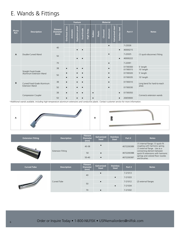#### E. Wands & Fittings

|               |                                                |                                           |                |            | <b>Feature</b>  |            |            |               |         |         | <b>Material</b> |                  |                 |                      |                              |
|---------------|------------------------------------------------|-------------------------------------------|----------------|------------|-----------------|------------|------------|---------------|---------|---------|-----------------|------------------|-----------------|----------------------|------------------------------|
| Photo<br>Ref. | <b>Description</b>                             | <b>Fitment</b><br><b>Diameter</b><br>(mm) | Overhead clean | Antistatic | Explosion-proof | Food-Grade | High Temp. | <b>Rubber</b> | Plastic | Chromed | Aluminum        | Galvanized steel | Stainless steel | Part #               | <b>Notes</b>                 |
|               |                                                |                                           |                |            |                 |            |            |               |         |         | $\bullet$       |                  |                 | 7-22026              |                              |
|               |                                                | 40                                        |                |            | $\bullet$       | $\bullet$  |            |               |         |         |                 |                  | $\bullet$       | 40000215             |                              |
| A             | Double-Curved Wand                             | 50                                        |                |            |                 |            |            |               |         |         | $\bullet$       |                  |                 | 7-22025              | (1) quick-disconnect fitting |
|               |                                                |                                           |                |            |                 | $\bullet$  |            |               |         |         |                 |                  | $\bullet$       | 40000222             |                              |
|               |                                                | 70                                        |                |            |                 |            |            |               |         |         | $\bullet$       |                  |                 | 7-22091              |                              |
|               |                                                | 38                                        | $\bullet$      |            | $\bullet$       |            |            |               |         |         | $\bullet$       |                  |                 | 01769300<br>01769315 | 5' length<br>10' length      |
|               | Straight Food-Grade<br>Aluminum Extension Wand |                                           | $\bullet$      |            |                 |            |            |               |         |         | $\bullet$       |                  |                 | 01769320             | 5' length                    |
|               |                                                | 50                                        | $\bullet$      |            |                 |            |            |               |         |         | $\bullet$       |                  |                 | 01769335             | 10' length                   |
| B             | Curved Food-Grade Aluminum                     | 38                                        | $\bullet$      |            |                 |            |            |               |         |         | $\bullet$       |                  |                 | 01769310             | Long bend for hard-to-reach  |
|               | <b>Extension Wand</b>                          | 50                                        | $\bullet$      |            | $\bullet$       | $\bullet$  |            |               |         |         | $\bullet$       |                  |                 | 01769330             | areas                        |
|               | <b>Compression Coupler</b>                     | 38                                        | $\bullet$      |            |                 | $\bullet$  |            | $\bullet$     |         |         |                 |                  | $\bullet$       | 01769350             | Connects extension wands     |
|               |                                                | 50                                        | $\bullet$      |            | $\bullet$       | $\bullet$  |            | $\bullet$     |         |         |                 |                  | $\bullet$       | 20659000             |                              |

*\*Additional wands available, including high-temperature aluminum extensions and conductive plastic. Contact customer service for more information.*



| <b>Extension Fitting</b> | <b>Description</b> | <b>Fitment</b><br><b>Diameter</b><br>(mm) | <b>Galvanized</b><br><b>Steel</b> | <b>Stainless</b><br><b>Steel</b> | Part #     | <b>Notes</b>                                                                                          |  |
|--------------------------|--------------------|-------------------------------------------|-----------------------------------|----------------------------------|------------|-------------------------------------------------------------------------------------------------------|--|
|                          |                    | 40-38                                     |                                   |                                  | 4072200389 | (1) internal flange; (1) quick-fit<br>coupling with harmonic spring;<br>(1) external flange. Use as a |  |
|                          | Extension Fitting  | 50                                        |                                   |                                  | 4072200388 | connecting element between<br>quick-fit extensions with harmonic                                      |  |
|                          |                    | $50 - 40$                                 | $\bullet$                         |                                  | 4072200387 | springs and colored floor nozzles<br>and brushes.                                                     |  |

| <b>Curved Tube</b>       | <b>Description</b> | <b>Fitment</b><br><b>Diameter</b><br>(mm) | Galvanized<br><b>Steel</b> | <b>Stainless</b><br><b>Steel</b> | Part #  | <b>Notes</b>         |
|--------------------------|--------------------|-------------------------------------------|----------------------------|----------------------------------|---------|----------------------|
|                          |                    | 40                                        | $\bullet$                  |                                  | 7-21013 |                      |
| $\overline{\phantom{a}}$ | Curved Tube        |                                           |                            | $\bullet$                        | 7-21033 |                      |
|                          |                    | 50                                        | $\bullet$                  |                                  | 7-21012 | (2) external flanges |
|                          |                    |                                           |                            |                                  | 7-21034 |                      |
|                          |                    | 70                                        | $\bullet$                  |                                  | 7-21032 |                      |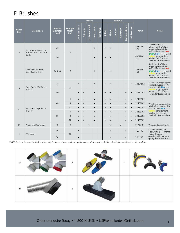#### F. Brushes

|                                                                    | <b>Material</b><br><b>Feature</b>             |                                           |                                           |                |            |                 |            |            |               |           |         |                 |                  |                 |                                                                                                   |                                                                                                                                                                                 |
|--------------------------------------------------------------------|-----------------------------------------------|-------------------------------------------|-------------------------------------------|----------------|------------|-----------------|------------|------------|---------------|-----------|---------|-----------------|------------------|-----------------|---------------------------------------------------------------------------------------------------|---------------------------------------------------------------------------------------------------------------------------------------------------------------------------------|
| Photo<br>Ref.                                                      | <b>Description</b>                            | <b>Fitment</b><br><b>Diameter</b><br>(mm) | <b>Principal</b><br><b>Width</b><br>(in.) | Overhead clean | Antistatic | Explosion-proof | Food-Grade | High Temp. | <b>Rubber</b> | Plastic   | Chromed | <b>Aluminum</b> | Galvanized steel | Stainless steel | Part#                                                                                             | <b>Notes</b>                                                                                                                                                                    |
| Food-Grade Plastic Dust<br>A<br>Brush w/ Swivel Head, in<br>Black. | 38                                            | $\overline{3}$                            |                                           |                |            |                 |            |            |               |           |         |                 |                  | 4072200<br>576  | Nitrile butadiene<br>rubber (NBR) w/ black<br>polypropylene bristles.<br>Also available with red. |                                                                                                                                                                                 |
|                                                                    | 50                                            |                                           |                                           |                |            |                 |            |            |               |           |         |                 |                  | 4072200<br>570  | green, blue, white, and<br>polypropylene<br>bristles. Call Customer<br>Service for Part numbers.  |                                                                                                                                                                                 |
|                                                                    | Colored Brush Insert<br>Spare Part, in Black. | 40 & 50                                   | $\overline{3}$                            |                |            |                 |            |            |               |           |         |                 |                  |                 | 4072400<br>264                                                                                    | Brush insert w/ black<br>polypropylene bristles.<br>Also available with red.<br>green, blue, white, and<br>polypropylene<br>bristles. Call Customer<br>Service for Part numbers |
|                                                                    | Food-Grade Wall Brush,                        | 40                                        |                                           | $\bullet$      |            |                 |            |            |               |           |         |                 | $\bullet$        | $\bullet$       | 22431602                                                                                          | With black polypropylene<br>bristles & rubber lip. Also<br>available with <b>blue</b> and                                                                                       |
| B                                                                  | in Black                                      | 50                                        | 12                                        | $\bullet$      |            |                 |            |            |               |           |         |                 |                  | $\bullet$       | 22434202                                                                                          | polypropylene<br>bristles. Call Customer<br>Service for Part numbers.                                                                                                           |
|                                                                    |                                               |                                           | $\overline{4}$                            | $\bullet$      | $\bullet$  |                 | $\bullet$  |            |               | $\bullet$ |         |                 |                  | $\bullet$       | 22430902                                                                                          |                                                                                                                                                                                 |
|                                                                    |                                               | 40                                        | 8                                         | $\bullet$      |            |                 |            |            |               | $\bullet$ |         |                 |                  | $\bullet$       | 22431002                                                                                          | With black polypropylene                                                                                                                                                        |
| C                                                                  | Food-Grade Pipe Brush,                        |                                           | 12                                        | $\bullet$      | $\bullet$  |                 |            |            |               | $\bullet$ |         |                 |                  | $\bullet$       | 22431102                                                                                          | bristles & rubber lip. Also<br>available with <b>blue</b> and                                                                                                                   |
|                                                                    | in Black.                                     |                                           | $\sqrt{4}$                                | $\bullet$      | $\bullet$  |                 | $\bullet$  |            |               | $\bullet$ |         |                 |                  | $\bullet$       | 22433702                                                                                          | polypropylene<br>bristles. Call Customer                                                                                                                                        |
|                                                                    |                                               | 50                                        | 8                                         | $\bullet$      |            |                 |            |            |               |           |         |                 |                  | $\bullet$       | 22433802                                                                                          | Service for Part numbers.                                                                                                                                                       |
|                                                                    |                                               |                                           | 12                                        | $\bullet$      | $\bullet$  |                 | $\bullet$  |            |               | $\bullet$ |         |                 |                  | $\bullet$       | 22433902                                                                                          |                                                                                                                                                                                 |
| D                                                                  | Aluminum Dust Brush                           | 40                                        | $\overline{3}$                            |                |            | $\bullet$       |            |            |               | $\bullet$ |         | $\bullet$       |                  |                 | 01719401                                                                                          | With conductive bristles                                                                                                                                                        |
|                                                                    |                                               | 40                                        | 16                                        | $\bullet$      |            |                 |            |            |               | $\bullet$ |         |                 | $\bullet$        |                 | 7-22195                                                                                           | Includes bristles, 30°<br>elbow fitting, (1) internal<br>flange, & quick-fit                                                                                                    |
| E<br>Wall Brush                                                    | 50                                            |                                           | $\bullet$                                 |                |            |                 |            |            | $\bullet$     |           |         | $\bullet$       |                  | 7-22198         | coupling with harmonic<br>spring; PVC construction                                                |                                                                                                                                                                                 |

*\*NOTE: Part numbers are for black brushes only. Contact customer service for part numbers of other colors. Additional materials and diameters also available.* 

| $\overline{A}$ | $\mathsf{B}$ | $\overline{c}$ | <b>All Property</b> |
|----------------|--------------|----------------|---------------------|
| D              | E            |                |                     |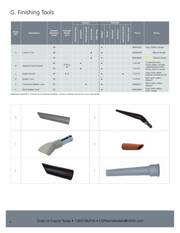#### G. Finishing Tools

|                |                        |                                           |                                    |                | <b>Feature</b> |                 |            |            |               |         | <b>Material</b> |          |                     |                 |          |                                                   |
|----------------|------------------------|-------------------------------------------|------------------------------------|----------------|----------------|-----------------|------------|------------|---------------|---------|-----------------|----------|---------------------|-----------------|----------|---------------------------------------------------|
| Photo<br>Ref.  | <b>Description</b>     | <b>Fitment</b><br><b>Diameter</b><br>(mm) | Principal<br><b>Width</b><br>(in.) | Overhead clean | Antistatic     | Explosion-proof | Food-Grade | High Temp. | <b>Rubber</b> | Plastic | Chromed         | Aluminum | steel<br>Galvanized | Stainless steel | Part#    | <b>Notes</b>                                      |
|                |                        | 38                                        |                                    |                |                |                 |            |            |               |         |                 |          |                     |                 | 80956200 | Gray; 200mm length                                |
| $\overline{A}$ | Crevice Cone           | 38                                        |                                    |                |                |                 |            |            |               |         |                 |          |                     |                 | 80956204 | White; 200mm length                               |
|                |                        | 38                                        | $\overline{\phantom{a}}$           |                |                |                 |            |            |               |         |                 |          |                     |                 | 80956205 | r; 200mm length<br>Yello                          |
| B              |                        | 40                                        | 0.79at                             |                | $\bullet$      |                 |            |            |               |         |                 |          |                     |                 | 7-22142  | Conductive black<br>nitrile rubber; includes      |
|                | Tapered Crevice Nozzle | 50                                        | tip                                |                |                |                 |            |            |               |         |                 |          |                     |                 | 7-22141  | a galvanized junction<br>fitting; 300mm length    |
| C              | Rubber Nozzle          | 40                                        | 4.72                               |                |                |                 |            |            |               |         |                 |          | $\bullet$           |                 | 7-22155  | Gray nitrile rubber;<br>oilproof; toothed profile |
| D              | Rubber Cone            | 50                                        | $\overline{\phantom{a}}$           |                |                |                 |            |            |               |         |                 |          |                     |                 | 7-21010  | Red nitrile rubber;<br>oilproof                   |
| E              | Conductive Rubber Cone | 50                                        | $\overline{\phantom{a}}$           |                |                | $\bullet$       |            |            |               |         |                 |          |                     |                 | 40000221 | Black nitrile rubber;<br>oilproof                 |
| F              | Short Rubber Cone      | 50                                        |                                    |                |                |                 |            |            |               |         |                 |          |                     |                 | 80650900 | Gray nitrile rubber;<br>9.65" length              |

*\*Additional diameters, features and materials available. Contact customer service for more information.* 

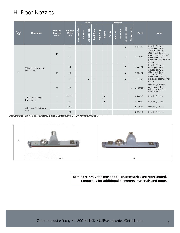#### H. Floor Nozzles

|  |                | <b>Description</b>                          | <b>Fitment</b><br><b>Diameter</b><br>(mm) | <b>Principal</b><br>Width<br>(in.) | <b>Feature</b> |                   |                 |            |            | <b>Material</b> |           |         |          |                  |                 |          |                                                                                                                                                                                   |
|--|----------------|---------------------------------------------|-------------------------------------------|------------------------------------|----------------|-------------------|-----------------|------------|------------|-----------------|-----------|---------|----------|------------------|-----------------|----------|-----------------------------------------------------------------------------------------------------------------------------------------------------------------------------------|
|  | Photo<br>Ref.  |                                             |                                           |                                    | Overhead clean | <b>Antistatic</b> | Explosion-proof | Food-Grade | High Temp. | <b>Rubber</b>   | Plastic   | Chromed | Aluminum | Galvanized steel | Stainless steel | Part #   | <b>Notes</b>                                                                                                                                                                      |
|  |                | Wheeled Floor Nozzle<br>(wet or dry)        | 40                                        | 12                                 |                |                   |                 |            |            |                 |           |         |          | $\bullet$        |                 | 7-22171  | Includes (2) rubber<br>squeegees, wheel<br>adjuster screw, &<br>(1) internal flange; a<br>quantity of (2) 8-23000<br>brush inserts must be<br>purchased separately for<br>dry use |
|  | $\overline{A}$ |                                             |                                           | 16                                 |                |                   |                 |            |            |                 |           |         |          | $\bullet$        |                 | 7-22030  |                                                                                                                                                                                   |
|  |                |                                             | 50<br>50                                  | 12                                 |                |                   |                 |            |            |                 |           |         |          | $\bullet$        |                 | 7-22172  | Includes (2) rubber<br>squeegees, wheel<br>adjuster screw, &<br>(1) internal flange;<br>a quantity of (2)<br>brush inserts must be<br>purchased separately for<br>dry use         |
|  |                |                                             |                                           | 16                                 |                |                   |                 |            |            |                 |           |         |          |                  |                 | 7-22029  |                                                                                                                                                                                   |
|  |                |                                             |                                           | 20                                 |                |                   |                 | $\bullet$  |            |                 |           |         |          | $\bullet$        |                 | 7-22147  |                                                                                                                                                                                   |
|  |                |                                             |                                           | 16                                 |                |                   |                 |            |            |                 |           |         |          |                  |                 | 40000223 | Includes (2) silicone<br>squeegees, wheel<br>adjuster screw, & (1)<br>internal flange                                                                                             |
|  |                | <b>Additional Squeegee</b><br>Inserts (wet) |                                           | 12 & 16                            |                |                   |                 |            |            | $\bullet$       |           |         |          |                  |                 | 8-20086  | Includes (1) piece                                                                                                                                                                |
|  |                |                                             |                                           | 20                                 |                |                   |                 |            |            | $\bullet$       |           |         |          |                  |                 | 8-20087  | Includes (1) piece                                                                                                                                                                |
|  |                | <b>Additional Brush Inserts</b><br>(dry)    |                                           | 12 & 16                            |                |                   |                 |            |            |                 | $\bullet$ |         |          |                  |                 | 8-23000  | Includes (1) piece                                                                                                                                                                |
|  |                |                                             |                                           | 20                                 |                |                   |                 |            |            |                 | $\bullet$ |         |          |                  |                 | 8-23016  | Includes (1) piece                                                                                                                                                                |

*\*Additional diameters, features and materials available. Contact customer service for more information.* 



**Reminder: Only the most popular accessories are represented. Contact us for additional diameters, materials and more.**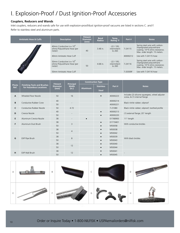## I. Explosion-Proof / Dust Ignition-Proof Accessories

#### **Couplers, Reducers and Wands**

Inlet couplers, reducers and wands safe for use with explosion-proof/dust ignition-proof vacuums are listed in sections C. and F. Refer to stainless steel and aluminum parts.

| <b>Antistatic Hose &amp; Cuffs</b> | <b>Description</b>                                                              | <b>Fitment</b><br><b>Diameter</b><br>(mm) | <b>Bend</b><br><b>Radius</b> | Temp.<br><b>Rating ºF</b>              | Part #   | <b>Notes</b>                                                                                                                  |
|------------------------------------|---------------------------------------------------------------------------------|-------------------------------------------|------------------------------|----------------------------------------|----------|-------------------------------------------------------------------------------------------------------------------------------|
|                                    | 40mm Conductive $\left(<=10^4\right)$<br>ohms) Polyurethane Hose (per<br>meter) | 40                                        | 3.48 in.                     | $-22/195;$<br>intermittent<br>to $260$ | 7-24115  | Spring steel wire with carbon-<br>impregnated polyurethane<br>coating; 10^4 ohms resistance;<br>Max. order length: 15 meters. |
|                                    | 40mm Antistatic Hose Cuff                                                       |                                           |                              |                                        | 40000212 | Use with 7-24115 hose                                                                                                         |
|                                    | 50mm Conductive $\left(<=10^4\right)$<br>ohms) Polyurethane Hose (per<br>meter) | 50                                        | 4.68 in.                     | $-22/195;$<br>intermittent<br>to $260$ | 7-24116  | Spring steel wire with carbon-<br>impregnated polyurethane<br>coating; 10^4 ohms resistance;<br>Max. order length: 15 meters. |
|                                    | 50mm Antistatic Hose Cuff                                                       |                                           |                              |                                        | 7-20309F | Use with 7-24116 hose                                                                                                         |

|               | <b>Finishing Tools and Brushes</b><br>for Hazardous Locations | <b>Fitment</b>  | Principal<br><b>Width</b> |                     | <b>Construction Type</b> |          |                                                                                 |  |
|---------------|---------------------------------------------------------------|-----------------|---------------------------|---------------------|--------------------------|----------|---------------------------------------------------------------------------------|--|
| Photo<br>Ref. |                                                               | <b>Diameter</b> |                           |                     | <b>Stainless</b>         | Part #   | <b>Notes</b>                                                                    |  |
|               |                                                               | (mm)            | (in.)                     | <b>Aluminum</b>     | <b>Steel</b>             |          |                                                                                 |  |
| $\mathbf{A}$  | Wheeled Floor Nozzle                                          | 50              | 16                        |                     | $\bullet$                | 40000223 | Includes (2) silicone squeegees, wheel adjuster<br>screw, & (1) internal flange |  |
| B             | Conductive Rubber Cone                                        | 40              |                           |                     |                          | 40000214 | Black nitrile rubber; oilproof                                                  |  |
|               |                                                               | 50              |                           |                     |                          | 40000221 |                                                                                 |  |
| C             | Conductive Rubber Nozzle                                      | 50              | 4.72                      |                     |                          | 7-21080  | Black nitrile rubber; oilproof; toothed profile                                 |  |
| D             | Crevice Nozzle                                                | 40              |                           |                     | $\bullet$                | 40000213 | (1) external flange; 20"-length                                                 |  |
|               |                                                               | 50              |                           |                     | $\bullet$                | 40000220 |                                                                                 |  |
| E.            | Aluminum Crevice Nozzle                                       | 38              |                           |                     |                          | 01768900 | 11"-length                                                                      |  |
| F.            | Aluminum Dust Brush                                           | 38              | 3                         |                     | $\bullet$                | 01719401 | With conductive bristles                                                        |  |
|               |                                                               | 50              |                           |                     | $\bullet$                | M50058   |                                                                                 |  |
|               |                                                               | 38              | $\overline{4}$<br>8       |                     | $\bullet$                | M50038   |                                                                                 |  |
|               |                                                               | 50              |                           |                     | $\bullet$                | M50042   |                                                                                 |  |
|               | EXP Pipe Brush                                                | 38              |                           |                     | $\bullet$                | M50039   |                                                                                 |  |
| G             |                                                               | 50              |                           |                     | $\bullet$                | M50043   | With black bristles                                                             |  |
|               |                                                               | 38              |                           |                     | $\bullet$                | M50040   |                                                                                 |  |
|               |                                                               | 50              | 12                        | M50044<br>$\bullet$ |                          |          |                                                                                 |  |
|               |                                                               | 38              |                           |                     |                          | M50041   |                                                                                 |  |
| н             | <b>EXP Wall Brush</b>                                         | 50              | 12                        |                     |                          | M50045   |                                                                                 |  |

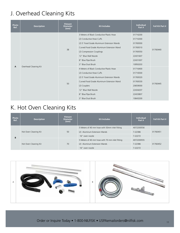### J. Overhead Cleaning Kits

| Photo<br>Ref. | <b>Description</b>    | <b>Fitment</b><br><b>Diameter</b><br>(mm) | <b>Kit Includes</b>                                                                                                                                                                                                                                                | <b>Individual</b><br>Part#                                                                   | <b>Full Kit Part #</b> |
|---------------|-----------------------|-------------------------------------------|--------------------------------------------------------------------------------------------------------------------------------------------------------------------------------------------------------------------------------------------------------------------|----------------------------------------------------------------------------------------------|------------------------|
|               | Overhead Cleaning Kit | 38                                        | 3 Meters of Black Conductive Plastic Hose<br>(2) Conductive Hose Cuffs<br>(2) 5' Food Grade Aluminum Extension Wands<br>Curved Food Grade Aluminum Extension Wand<br>(2) Compression Couplings<br>12" Blue Wall Nozzle<br>8" Blue Pipe Brush<br>3" Blue Dust Brush | 01716200<br>01716300<br>01769300<br>01769310<br>01769350<br>22431607<br>22431007<br>10950203 | 01760440               |
| A             |                       | 50                                        | 4 Meters of Black Conductive Plastic Hose<br>(2) Conductive Hose Cuffs<br>(2) 5' Food Grade Aluminum Extension Wands<br>Curved Food Grade Aluminum Extension Wand<br>(2) Couplers<br>12" Blue Wall Nozzle<br>8" Blue Pipe Brush<br>3" Blue Dust Brush              | 01716400<br>01716500<br>01769320<br>01769330<br>20659000<br>22434207<br>22433807<br>10643200 | 01760445               |

#### K. Hot Oven Cleaning Kits

| Photo<br>Ref. | <b>Description</b>    | <b>Fitment</b><br><b>Diameter</b><br>(mm) | <b>Kit Includes</b>                             | <b>Individual</b><br>Part # | Full Kit Part # |
|---------------|-----------------------|-------------------------------------------|-------------------------------------------------|-----------------------------|-----------------|
|               |                       | 50                                        | 5 Meters of 40 mm hose with 50mm inlet fitting  | 4072200556                  | 01760451        |
|               | Hot Oven Cleaning Kit |                                           | (2) Aluminum Extension Wands                    | 7-22386                     |                 |
| B             |                       |                                           | 16" oven nozzle                                 | 7-22272                     |                 |
|               | Hot Oven Cleaning Kit | 70                                        | 5 Meters of 40 mm hose with 70 mm inlet fitting | 4072200555                  |                 |
|               |                       |                                           | (2) Aluminum Extension Wands                    | 7-22386                     | 01760452        |
|               |                       |                                           | 16" oven nozzle                                 | 7-22272                     |                 |